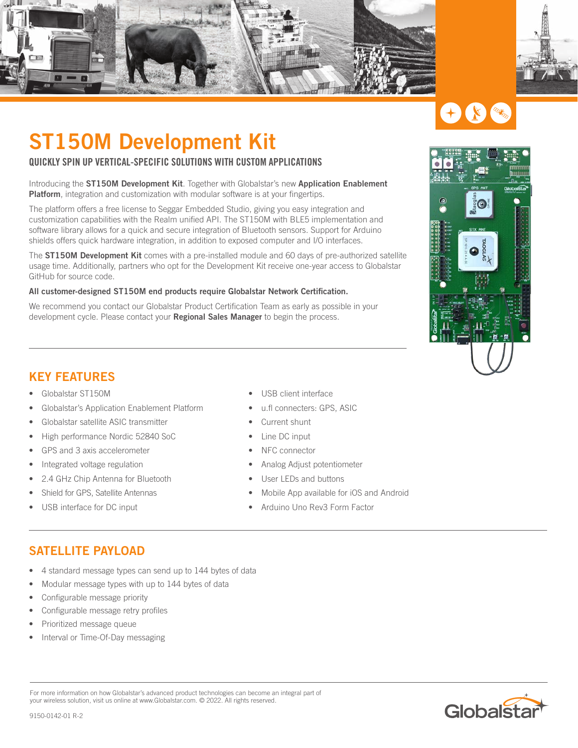



# X

## **ST150M Development Kit**

#### QUICKLY SPIN UP VERTICAL-SPECIFIC SOLUTIONS WITH CUSTOM APPLICATIONS

Introducing the **ST150M Development Kit**. Together with Globalstar's new **Application Enablement Platform**, integration and customization with modular software is at your fingertips.

The platform offers a free license to Seggar Embedded Studio, giving you easy integration and customization capabilities with the Realm unified API. The ST150M with BLE5 implementation and software library allows for a quick and secure integration of Bluetooth sensors. Support for Arduino shields offers quick hardware integration, in addition to exposed computer and I/O interfaces.

The **ST150M Development Kit** comes with a pre-installed module and 60 days of pre-authorized satellite usage time. Additionally, partners who opt for the Development Kit receive one-year access to Globalstar GitHub for source code.

#### **All customer-designed ST150M end products require Globalstar Network Certification.**

We recommend you contact our Globalstar Product Certification Team as early as possible in your development cycle. Please contact your **Regional Sales Manager** to begin the process.



#### **KEY FEATURES**

- Globalstar ST150M
- Globalstar's Application Enablement Platform
- Globalstar satellite ASIC transmitter
- High performance Nordic 52840 SoC
- GPS and 3 axis accelerometer
- Integrated voltage regulation
- 2.4 GHz Chip Antenna for Bluetooth
- Shield for GPS, Satellite Antennas
- USB interface for DC input
- USB client interface
- u.fl connecters: GPS, ASIC
- Current shunt
- Line DC input
- NFC connector
- Analog Adjust potentiometer
- User LEDs and buttons
- Mobile App available for iOS and Android
- Arduino Uno Rev3 Form Factor

#### **SATELLITE PAYLOAD**

- 4 standard message types can send up to 144 bytes of data
- Modular message types with up to 144 bytes of data
- Configurable message priority
- Configurable message retry profiles
- Prioritized message queue
- Interval or Time-Of-Day messaging

For more information on how Globalstar's advanced product technologies can become an integral part of your wireless solution, visit us online at www.Globalstar.com. © 2022. All rights reserved.